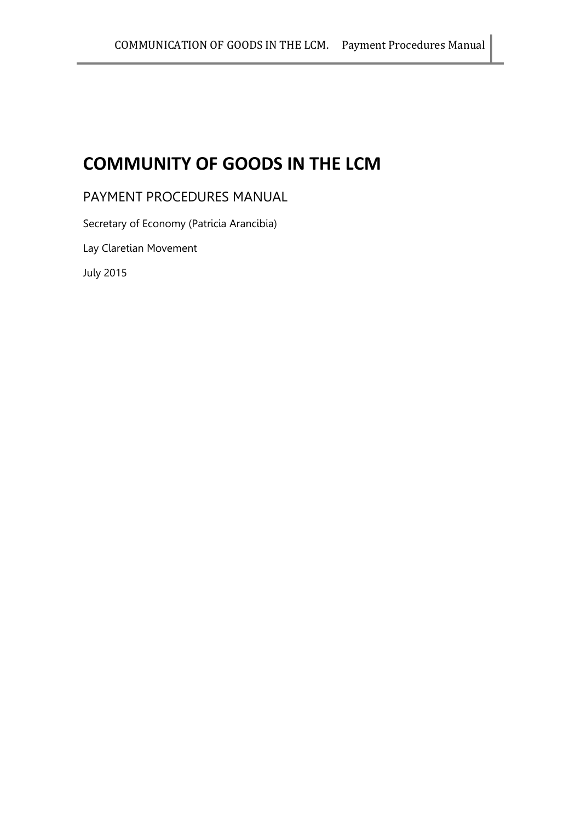# **COMMUNITY OF GOODS IN THE LCM**

PAYMENT PROCEDURES MANUAL

Secretary of Economy (Patricia Arancibia)

Lay Claretian Movement

July 2015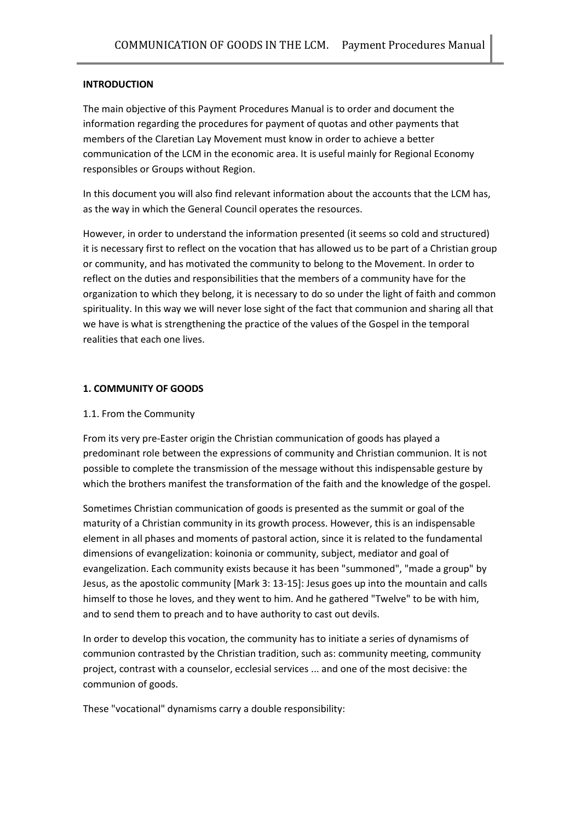## **INTRODUCTION**

The main objective of this Payment Procedures Manual is to order and document the information regarding the procedures for payment of quotas and other payments that members of the Claretian Lay Movement must know in order to achieve a better communication of the LCM in the economic area. It is useful mainly for Regional Economy responsibles or Groups without Region.

In this document you will also find relevant information about the accounts that the LCM has, as the way in which the General Council operates the resources.

However, in order to understand the information presented (it seems so cold and structured) it is necessary first to reflect on the vocation that has allowed us to be part of a Christian group or community, and has motivated the community to belong to the Movement. In order to reflect on the duties and responsibilities that the members of a community have for the organization to which they belong, it is necessary to do so under the light of faith and common spirituality. In this way we will never lose sight of the fact that communion and sharing all that we have is what is strengthening the practice of the values of the Gospel in the temporal realities that each one lives.

#### **1. COMMUNITY OF GOODS**

#### 1.1. From the Community

From its very pre-Easter origin the Christian communication of goods has played a predominant role between the expressions of community and Christian communion. It is not possible to complete the transmission of the message without this indispensable gesture by which the brothers manifest the transformation of the faith and the knowledge of the gospel.

Sometimes Christian communication of goods is presented as the summit or goal of the maturity of a Christian community in its growth process. However, this is an indispensable element in all phases and moments of pastoral action, since it is related to the fundamental dimensions of evangelization: koinonia or community, subject, mediator and goal of evangelization. Each community exists because it has been "summoned", "made a group" by Jesus, as the apostolic community [Mark 3: 13-15]: Jesus goes up into the mountain and calls himself to those he loves, and they went to him. And he gathered "Twelve" to be with him, and to send them to preach and to have authority to cast out devils.

In order to develop this vocation, the community has to initiate a series of dynamisms of communion contrasted by the Christian tradition, such as: community meeting, community project, contrast with a counselor, ecclesial services ... and one of the most decisive: the communion of goods.

These "vocational" dynamisms carry a double responsibility: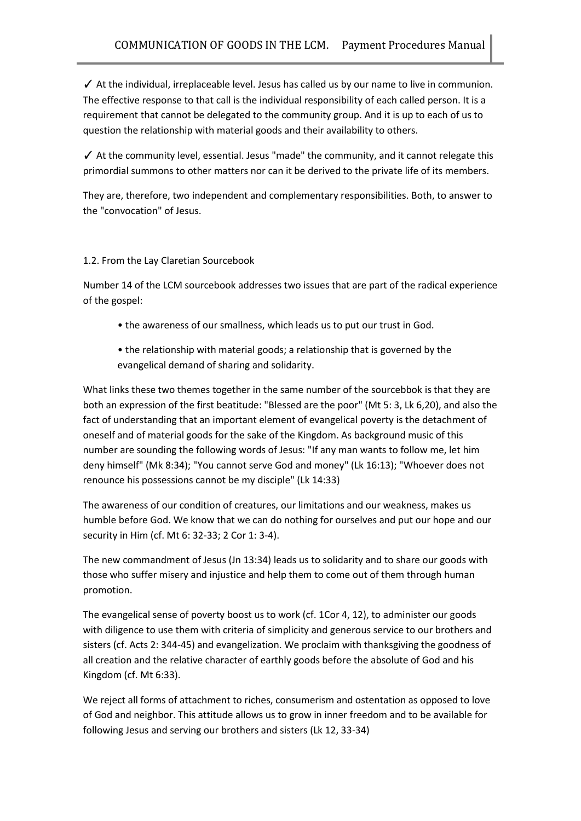$\checkmark$  At the individual, irreplaceable level. Jesus has called us by our name to live in communion. The effective response to that call is the individual responsibility of each called person. It is a requirement that cannot be delegated to the community group. And it is up to each of us to question the relationship with material goods and their availability to others.

✓ At the community level, essential. Jesus "made" the community, and it cannot relegate this primordial summons to other matters nor can it be derived to the private life of its members.

They are, therefore, two independent and complementary responsibilities. Both, to answer to the "convocation" of Jesus.

# 1.2. From the Lay Claretian Sourcebook

Number 14 of the LCM sourcebook addresses two issues that are part of the radical experience of the gospel:

- the awareness of our smallness, which leads us to put our trust in God.
- the relationship with material goods; a relationship that is governed by the evangelical demand of sharing and solidarity.

What links these two themes together in the same number of the sourcebbok is that they are both an expression of the first beatitude: "Blessed are the poor" (Mt 5: 3, Lk 6,20), and also the fact of understanding that an important element of evangelical poverty is the detachment of oneself and of material goods for the sake of the Kingdom. As background music of this number are sounding the following words of Jesus: "If any man wants to follow me, let him deny himself" (Mk 8:34); "You cannot serve God and money" (Lk 16:13); "Whoever does not renounce his possessions cannot be my disciple" (Lk 14:33)

The awareness of our condition of creatures, our limitations and our weakness, makes us humble before God. We know that we can do nothing for ourselves and put our hope and our security in Him (cf. Mt 6: 32-33; 2 Cor 1: 3-4).

The new commandment of Jesus (Jn 13:34) leads us to solidarity and to share our goods with those who suffer misery and injustice and help them to come out of them through human promotion.

The evangelical sense of poverty boost us to work (cf. 1Cor 4, 12), to administer our goods with diligence to use them with criteria of simplicity and generous service to our brothers and sisters (cf. Acts 2: 344-45) and evangelization. We proclaim with thanksgiving the goodness of all creation and the relative character of earthly goods before the absolute of God and his Kingdom (cf. Mt 6:33).

We reject all forms of attachment to riches, consumerism and ostentation as opposed to love of God and neighbor. This attitude allows us to grow in inner freedom and to be available for following Jesus and serving our brothers and sisters (Lk 12, 33-34)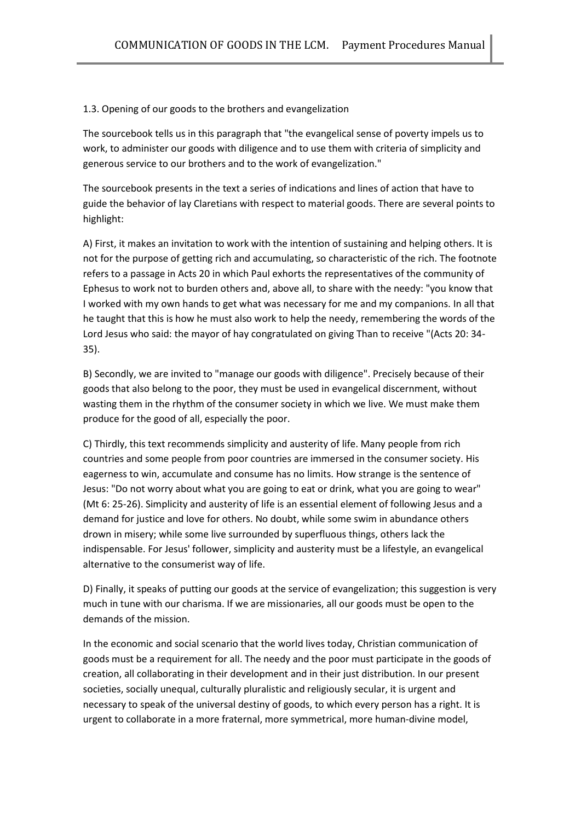## 1.3. Opening of our goods to the brothers and evangelization

The sourcebook tells us in this paragraph that "the evangelical sense of poverty impels us to work, to administer our goods with diligence and to use them with criteria of simplicity and generous service to our brothers and to the work of evangelization."

The sourcebook presents in the text a series of indications and lines of action that have to guide the behavior of lay Claretians with respect to material goods. There are several points to highlight:

A) First, it makes an invitation to work with the intention of sustaining and helping others. It is not for the purpose of getting rich and accumulating, so characteristic of the rich. The footnote refers to a passage in Acts 20 in which Paul exhorts the representatives of the community of Ephesus to work not to burden others and, above all, to share with the needy: "you know that I worked with my own hands to get what was necessary for me and my companions. In all that he taught that this is how he must also work to help the needy, remembering the words of the Lord Jesus who said: the mayor of hay congratulated on giving Than to receive "(Acts 20: 34- 35).

B) Secondly, we are invited to "manage our goods with diligence". Precisely because of their goods that also belong to the poor, they must be used in evangelical discernment, without wasting them in the rhythm of the consumer society in which we live. We must make them produce for the good of all, especially the poor.

C) Thirdly, this text recommends simplicity and austerity of life. Many people from rich countries and some people from poor countries are immersed in the consumer society. His eagerness to win, accumulate and consume has no limits. How strange is the sentence of Jesus: "Do not worry about what you are going to eat or drink, what you are going to wear" (Mt 6: 25-26). Simplicity and austerity of life is an essential element of following Jesus and a demand for justice and love for others. No doubt, while some swim in abundance others drown in misery; while some live surrounded by superfluous things, others lack the indispensable. For Jesus' follower, simplicity and austerity must be a lifestyle, an evangelical alternative to the consumerist way of life.

D) Finally, it speaks of putting our goods at the service of evangelization; this suggestion is very much in tune with our charisma. If we are missionaries, all our goods must be open to the demands of the mission.

In the economic and social scenario that the world lives today, Christian communication of goods must be a requirement for all. The needy and the poor must participate in the goods of creation, all collaborating in their development and in their just distribution. In our present societies, socially unequal, culturally pluralistic and religiously secular, it is urgent and necessary to speak of the universal destiny of goods, to which every person has a right. It is urgent to collaborate in a more fraternal, more symmetrical, more human-divine model,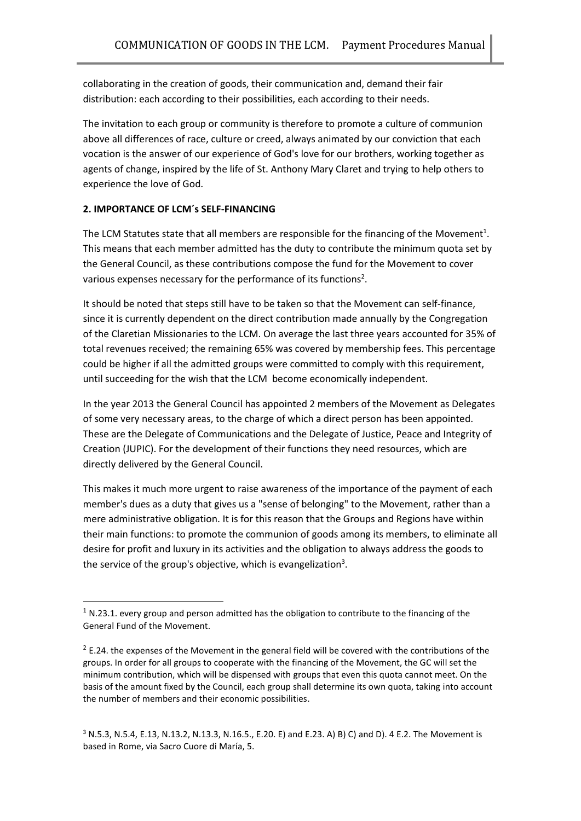collaborating in the creation of goods, their communication and, demand their fair distribution: each according to their possibilities, each according to their needs.

The invitation to each group or community is therefore to promote a culture of communion above all differences of race, culture or creed, always animated by our conviction that each vocation is the answer of our experience of God's love for our brothers, working together as agents of change, inspired by the life of St. Anthony Mary Claret and trying to help others to experience the love of God.

## **2. IMPORTANCE OF LCM´s SELF-FINANCING**

**.** 

The LCM Statutes state that all members are responsible for the financing of the Movement<sup>1</sup>. This means that each member admitted has the duty to contribute the minimum quota set by the General Council, as these contributions compose the fund for the Movement to cover various expenses necessary for the performance of its functions<sup>2</sup>.

It should be noted that steps still have to be taken so that the Movement can self-finance, since it is currently dependent on the direct contribution made annually by the Congregation of the Claretian Missionaries to the LCM. On average the last three years accounted for 35% of total revenues received; the remaining 65% was covered by membership fees. This percentage could be higher if all the admitted groups were committed to comply with this requirement, until succeeding for the wish that the LCM become economically independent.

In the year 2013 the General Council has appointed 2 members of the Movement as Delegates of some very necessary areas, to the charge of which a direct person has been appointed. These are the Delegate of Communications and the Delegate of Justice, Peace and Integrity of Creation (JUPIC). For the development of their functions they need resources, which are directly delivered by the General Council.

This makes it much more urgent to raise awareness of the importance of the payment of each member's dues as a duty that gives us a "sense of belonging" to the Movement, rather than a mere administrative obligation. It is for this reason that the Groups and Regions have within their main functions: to promote the communion of goods among its members, to eliminate all desire for profit and luxury in its activities and the obligation to always address the goods to the service of the group's objective, which is evangelization<sup>3</sup>.

 $1$  N.23.1. every group and person admitted has the obligation to contribute to the financing of the General Fund of the Movement.

 $2$  E.24. the expenses of the Movement in the general field will be covered with the contributions of the groups. In order for all groups to cooperate with the financing of the Movement, the GC will set the minimum contribution, which will be dispensed with groups that even this quota cannot meet. On the basis of the amount fixed by the Council, each group shall determine its own quota, taking into account the number of members and their economic possibilities.

 $3$  N.5.3, N.5.4, E.13, N.13.2, N.13.3, N.16.5., E.20. E) and E.23. A) B) C) and D). 4 E.2. The Movement is based in Rome, via Sacro Cuore di María, 5.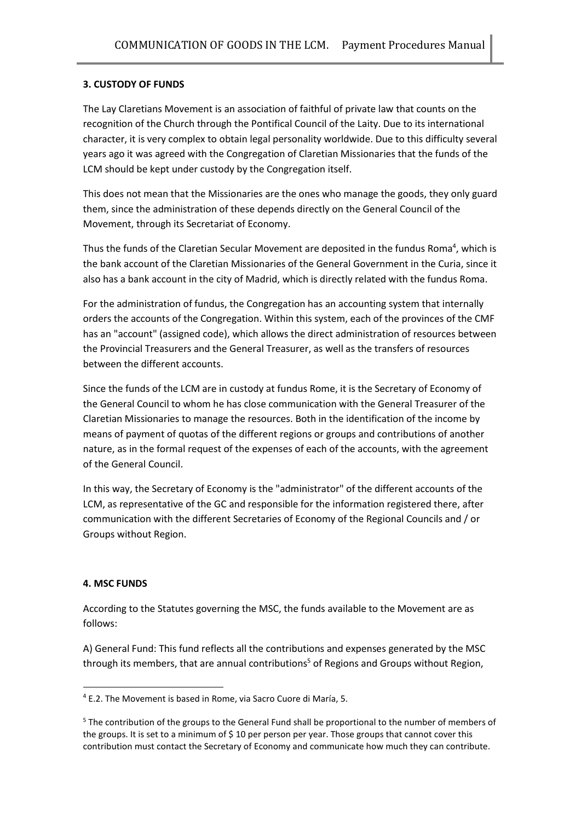## **3. CUSTODY OF FUNDS**

The Lay Claretians Movement is an association of faithful of private law that counts on the recognition of the Church through the Pontifical Council of the Laity. Due to its international character, it is very complex to obtain legal personality worldwide. Due to this difficulty several years ago it was agreed with the Congregation of Claretian Missionaries that the funds of the LCM should be kept under custody by the Congregation itself.

This does not mean that the Missionaries are the ones who manage the goods, they only guard them, since the administration of these depends directly on the General Council of the Movement, through its Secretariat of Economy.

Thus the funds of the Claretian Secular Movement are deposited in the fundus Roma<sup>4</sup>, which is the bank account of the Claretian Missionaries of the General Government in the Curia, since it also has a bank account in the city of Madrid, which is directly related with the fundus Roma.

For the administration of fundus, the Congregation has an accounting system that internally orders the accounts of the Congregation. Within this system, each of the provinces of the CMF has an "account" (assigned code), which allows the direct administration of resources between the Provincial Treasurers and the General Treasurer, as well as the transfers of resources between the different accounts.

Since the funds of the LCM are in custody at fundus Rome, it is the Secretary of Economy of the General Council to whom he has close communication with the General Treasurer of the Claretian Missionaries to manage the resources. Both in the identification of the income by means of payment of quotas of the different regions or groups and contributions of another nature, as in the formal request of the expenses of each of the accounts, with the agreement of the General Council.

In this way, the Secretary of Economy is the "administrator" of the different accounts of the LCM, as representative of the GC and responsible for the information registered there, after communication with the different Secretaries of Economy of the Regional Councils and / or Groups without Region.

## **4. MSC FUNDS**

**.** 

According to the Statutes governing the MSC, the funds available to the Movement are as follows:

A) General Fund: This fund reflects all the contributions and expenses generated by the MSC through its members, that are annual contributions<sup>5</sup> of Regions and Groups without Region,

<sup>4</sup> E.2. The Movement is based in Rome, via Sacro Cuore di María, 5.

<sup>5</sup> The contribution of the groups to the General Fund shall be proportional to the number of members of the groups. It is set to a minimum of \$10 per person per year. Those groups that cannot cover this contribution must contact the Secretary of Economy and communicate how much they can contribute.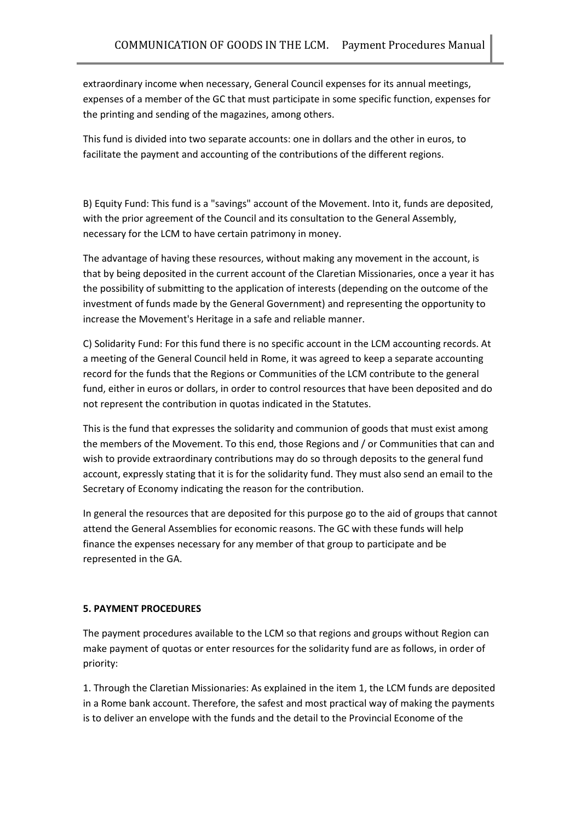extraordinary income when necessary, General Council expenses for its annual meetings, expenses of a member of the GC that must participate in some specific function, expenses for the printing and sending of the magazines, among others.

This fund is divided into two separate accounts: one in dollars and the other in euros, to facilitate the payment and accounting of the contributions of the different regions.

B) Equity Fund: This fund is a "savings" account of the Movement. Into it, funds are deposited, with the prior agreement of the Council and its consultation to the General Assembly, necessary for the LCM to have certain patrimony in money.

The advantage of having these resources, without making any movement in the account, is that by being deposited in the current account of the Claretian Missionaries, once a year it has the possibility of submitting to the application of interests (depending on the outcome of the investment of funds made by the General Government) and representing the opportunity to increase the Movement's Heritage in a safe and reliable manner.

C) Solidarity Fund: For this fund there is no specific account in the LCM accounting records. At a meeting of the General Council held in Rome, it was agreed to keep a separate accounting record for the funds that the Regions or Communities of the LCM contribute to the general fund, either in euros or dollars, in order to control resources that have been deposited and do not represent the contribution in quotas indicated in the Statutes.

This is the fund that expresses the solidarity and communion of goods that must exist among the members of the Movement. To this end, those Regions and / or Communities that can and wish to provide extraordinary contributions may do so through deposits to the general fund account, expressly stating that it is for the solidarity fund. They must also send an email to the Secretary of Economy indicating the reason for the contribution.

In general the resources that are deposited for this purpose go to the aid of groups that cannot attend the General Assemblies for economic reasons. The GC with these funds will help finance the expenses necessary for any member of that group to participate and be represented in the GA.

## **5. PAYMENT PROCEDURES**

The payment procedures available to the LCM so that regions and groups without Region can make payment of quotas or enter resources for the solidarity fund are as follows, in order of priority:

1. Through the Claretian Missionaries: As explained in the item 1, the LCM funds are deposited in a Rome bank account. Therefore, the safest and most practical way of making the payments is to deliver an envelope with the funds and the detail to the Provincial Econome of the